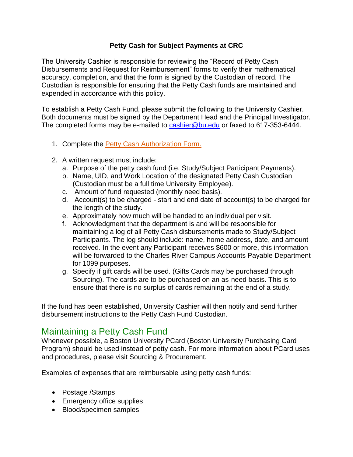#### **Petty Cash for Subject Payments at CRC**

The University Cashier is responsible for reviewing the "Record of Petty Cash Disbursements and Request for Reimbursement" forms to verify their mathematical accuracy, completion, and that the form is signed by the Custodian of record. The Custodian is responsible for ensuring that the Petty Cash funds are maintained and expended in accordance with this policy.

To establish a Petty Cash Fund, please submit the following to the University Cashier. Both documents must be signed by the Department Head and the Principal Investigator. The completed forms may be e-mailed to [cashier@bu.edu](mailto:cashier@bu.edu) or faxed to 617-353-6444.

- 1. Complete the [Petty Cash Authorization Form.](http://www.bu.edu/cfo/files/2010/08/Petty-Cash-Authorization.pdf)
- 2. A written request must include:
	- a. Purpose of the petty cash fund (i.e. Study/Subject Participant Payments).
	- b. Name, UID, and Work Location of the designated Petty Cash Custodian (Custodian must be a full time University Employee).
	- c. Amount of fund requested (monthly need basis).
	- d. Account(s) to be charged start and end date of account(s) to be charged for the length of the study.
	- e. Approximately how much will be handed to an individual per visit.
	- f. Acknowledgment that the department is and will be responsible for maintaining a log of all Petty Cash disbursements made to Study/Subject Participants. The log should include: name, home address, date, and amount received. In the event any Participant receives \$600 or more, this information will be forwarded to the Charles River Campus Accounts Payable Department for 1099 purposes.
	- g. Specify if gift cards will be used. (Gifts Cards may be purchased through Sourcing). The cards are to be purchased on an as-need basis. This is to ensure that there is no surplus of cards remaining at the end of a study.

If the fund has been established, University Cashier will then notify and send further disbursement instructions to the Petty Cash Fund Custodian.

# Maintaining a Petty Cash Fund

Whenever possible, a Boston University PCard (Boston University Purchasing Card Program) should be used instead of petty cash. For more information about PCard uses and procedures, please visit Sourcing & Procurement.

Examples of expenses that are reimbursable using petty cash funds:

- Postage /Stamps
- Emergency office supplies
- Blood/specimen samples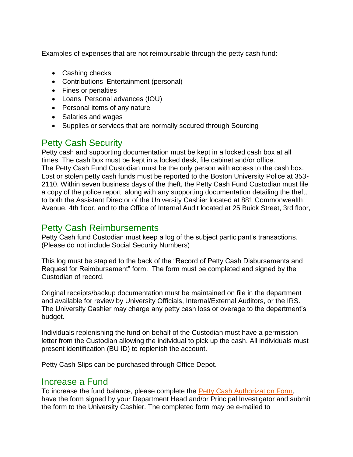Examples of expenses that are not reimbursable through the petty cash fund:

- Cashing checks
- Contributions Entertainment (personal)
- Fines or penalties
- Loans Personal advances (IOU)
- Personal items of any nature
- Salaries and wages
- Supplies or services that are normally secured through Sourcing

### Petty Cash Security

Petty cash and supporting documentation must be kept in a locked cash box at all times. The cash box must be kept in a locked desk, file cabinet and/or office. The Petty Cash Fund Custodian must be the only person with access to the cash box. Lost or stolen petty cash funds must be reported to the Boston University Police at 353- 2110. Within seven business days of the theft, the Petty Cash Fund Custodian must file a copy of the police report, along with any supporting documentation detailing the theft, to both the Assistant Director of the University Cashier located at 881 Commonwealth Avenue, 4th floor, and to the Office of Internal Audit located at 25 Buick Street, 3rd floor,

### Petty Cash Reimbursements

Petty Cash fund Custodian must keep a log of the subject participant's transactions. (Please do not include Social Security Numbers)

This log must be stapled to the back of the "Record of Petty Cash Disbursements and Request for Reimbursement" form. The form must be completed and signed by the Custodian of record.

Original receipts/backup documentation must be maintained on file in the department and available for review by University Officials, Internal/External Auditors, or the IRS. The University Cashier may charge any petty cash loss or overage to the department's budget.

Individuals replenishing the fund on behalf of the Custodian must have a permission letter from the Custodian allowing the individual to pick up the cash. All individuals must present identification (BU ID) to replenish the account.

Petty Cash Slips can be purchased through Office Depot.

#### Increase a Fund

To increase the fund balance, please complete the [Petty Cash Authorization Form,](http://www.bu.edu/cfo/files/2010/08/Petty-Cash-Authorization.pdf) have the form signed by your Department Head and/or Principal Investigator and submit the form to the University Cashier. The completed form may be e-mailed to